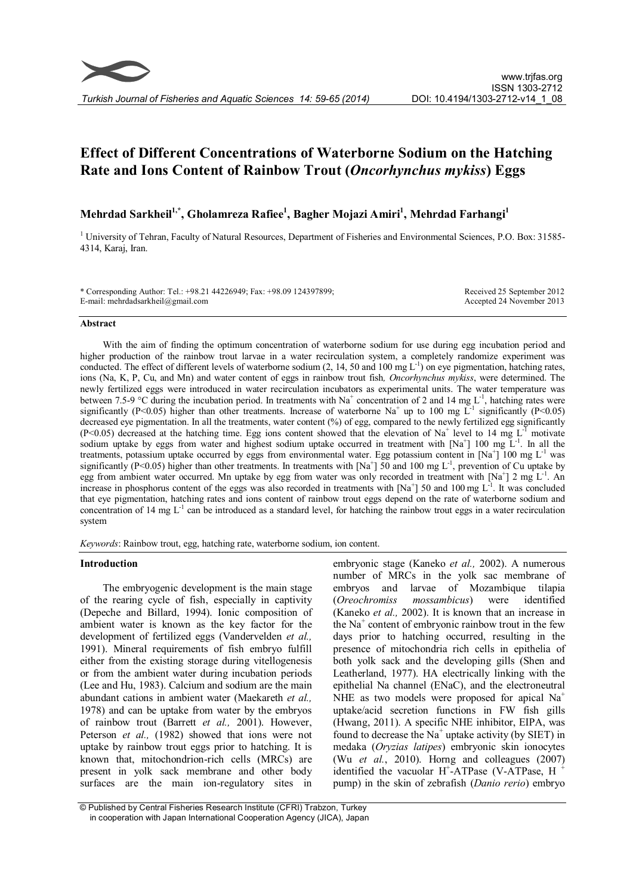# Effect of Different Concentrations of Waterborne Sodium on the Hatching Rate and Ions Content of Rainbow Trout (Oncorhynchus mykiss) Eggs

## Mehrdad Sarkheil<sup>1,\*</sup>, Gholamreza Rafiee<sup>1</sup>, Bagher Mojazi Amiri<sup>1</sup>, Mehrdad Farhangi<sup>1</sup>

<sup>1</sup> University of Tehran, Faculty of Natural Resources, Department of Fisheries and Environmental Sciences, P.O. Box: 31585- 4314, Karaj, Iran.

\* Corresponding Author: Tel.: +98.21 44226949; Fax: +98.09 124397899; E-mail: mehrdadsarkheil@gmail.com

Received 25 September 2012 Accepted 24 November 2013

#### Abstract

With the aim of finding the optimum concentration of waterborne sodium for use during egg incubation period and higher production of the rainbow trout larvae in a water recirculation system, a completely randomize experiment was conducted. The effect of different levels of waterborne sodium  $(2, 14, 50$  and  $100 \text{ mg } L^{-1}$  on eye pigmentation, hatching rates, ions (Na, K, P, Cu, and Mn) and water content of eggs in rainbow trout fish, Oncorhynchus mykiss, were determined. The newly fertilized eggs were introduced in water recirculation incubators as experimental units. The water temperature was between 7.5-9 °C during the incubation period. In treatments with Na<sup>+</sup> concentration of 2 and 14 mg L<sup>-1</sup>, hatching rates were significantly (P<0.05) higher than other treatments. Increase of waterborne Na<sup>+</sup> up to 100 mg L<sup>-1</sup> significantly (P<0.05) decreased eye pigmentation. In all the treatments, water content (%) of egg, compared to the newly fertilized egg significantly (P<0.05) decreased at the hatching time. Egg ions content showed that the elevation of Na<sup>+</sup> level to 14 mg L<sup>-1</sup> motivate sodium uptake by eggs from water and highest sodium uptake occurred in treatment with  $[Na^+]$  100 mg  $L^{-1}$ . In all the treatments, potassium uptake occurred by eggs from environmental water. Egg potassium content in  $[Na^+]$  100 mg  $L^{-1}$  was significantly (P<0.05) higher than other treatments. In treatments with  $[Na^+]$  50 and 100 mg L<sup>-1</sup>, prevention of Cu uptake by egg from ambient water occurred. Mn uptake by egg from water was only recorded in treatment with  $[Na^+]$  2 mg L<sup>-1</sup>. An increase in phosphorus content of the eggs was also recorded in treatments with  $[Na^+]$  50 and 100 mg  $L<sup>-1</sup>$ . It was concluded that eye pigmentation, hatching rates and ions content of rainbow trout eggs depend on the rate of waterborne sodium and concentration of 14 mg  $L^{-1}$  can be introduced as a standard level, for hatching the rainbow trout eggs in a water recirculation system

Keywords: Rainbow trout, egg, hatching rate, waterborne sodium, ion content.

## Introduction

The embryogenic development is the main stage of the rearing cycle of fish, especially in captivity (Depeche and Billard, 1994). Ionic composition of ambient water is known as the key factor for the development of fertilized eggs (Vandervelden et al., 1991). Mineral requirements of fish embryo fulfill either from the existing storage during vitellogenesis or from the ambient water during incubation periods (Lee and Hu, 1983). Calcium and sodium are the main abundant cations in ambient water (Maekareth et al., 1978) and can be uptake from water by the embryos of rainbow trout (Barrett et al., 2001). However, Peterson et al., (1982) showed that ions were not uptake by rainbow trout eggs prior to hatching. It is known that, mitochondrion-rich cells (MRCs) are present in yolk sack membrane and other body surfaces are the main ion-regulatory sites in

embryonic stage (Kaneko et al., 2002). A numerous number of MRCs in the yolk sac membrane of embryos and larvae of Mozambique tilapia (Oreochromiss mossambicus) were identified (Kaneko et al., 2002). It is known that an increase in the  $Na<sup>+</sup>$  content of embryonic rainbow trout in the few days prior to hatching occurred, resulting in the presence of mitochondria rich cells in epithelia of both yolk sack and the developing gills (Shen and Leatherland, 1977). HA electrically linking with the epithelial Na channel (ENaC), and the electroneutral NHE as two models were proposed for apical  $Na<sup>+</sup>$ uptake/acid secretion functions in FW fish gills (Hwang, 2011). A specific NHE inhibitor, EIPA, was found to decrease the  $Na<sup>+</sup>$  uptake activity (by SIET) in medaka (Oryzias latipes) embryonic skin ionocytes (Wu et al., 2010). Horng and colleagues (2007) identified the vacuolar  $H^+$ -ATPase (V-ATPase, H<sup>+</sup> pump) in the skin of zebrafish (Danio rerio) embryo

<sup>©</sup> Published by Central Fisheries Research Institute (CFRI) Trabzon, Turkey in cooperation with Japan International Cooperation Agency (JICA), Japan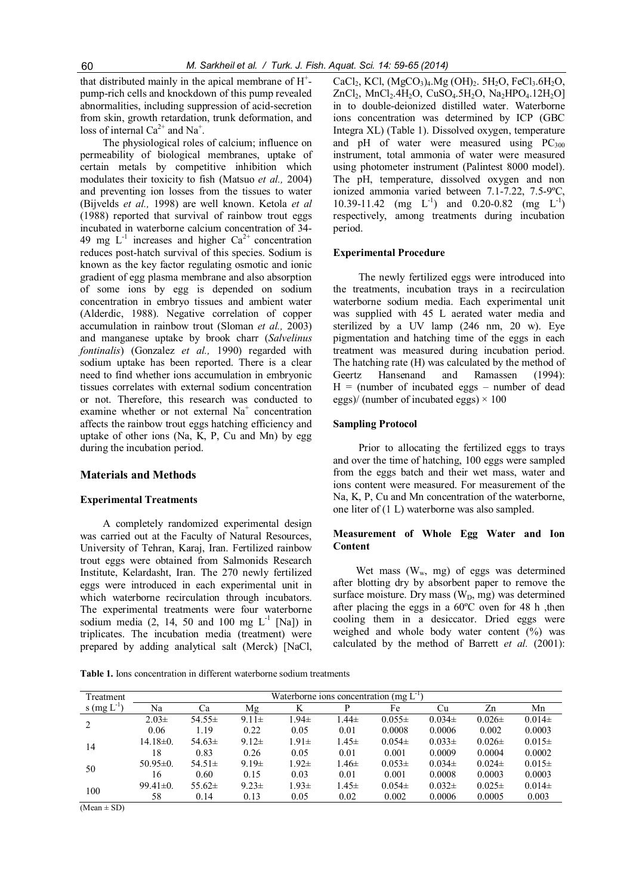that distributed mainly in the apical membrane of H<sup>+</sup>pump-rich cells and knockdown of this pump revealed abnormalities, including suppression of acid-secretion from skin, growth retardation, trunk deformation, and loss of internal  $Ca^{2+}$  and Na<sup>+</sup>.

The physiological roles of calcium; influence on permeability of biological membranes, uptake of certain metals by competitive inhibition which modulates their toxicity to fish (Matsuo et al., 2004) and preventing ion losses from the tissues to water (Bijvelds et al., 1998) are well known. Ketola et al (1988) reported that survival of rainbow trout eggs incubated in waterborne calcium concentration of 34- 49 mg  $L^{-1}$  increases and higher  $Ca^{2+}$  concentration reduces post-hatch survival of this species. Sodium is known as the key factor regulating osmotic and ionic gradient of egg plasma membrane and also absorption of some ions by egg is depended on sodium concentration in embryo tissues and ambient water (Alderdic, 1988). Negative correlation of copper accumulation in rainbow trout (Sloman et al., 2003) and manganese uptake by brook charr (Salvelinus fontinalis) (Gonzalez et al., 1990) regarded with sodium uptake has been reported. There is a clear need to find whether ions accumulation in embryonic tissues correlates with external sodium concentration or not. Therefore, this research was conducted to examine whether or not external Na<sup>+</sup> concentration affects the rainbow trout eggs hatching efficiency and uptake of other ions (Na, K, P, Cu and Mn) by egg during the incubation period.

#### Materials and Methods

#### Experimental Treatments

A completely randomized experimental design was carried out at the Faculty of Natural Resources, University of Tehran, Karaj, Iran. Fertilized rainbow trout eggs were obtained from Salmonids Research Institute, Kelardasht, Iran. The 270 newly fertilized eggs were introduced in each experimental unit in which waterborne recirculation through incubators. The experimental treatments were four waterborne sodium media (2, 14, 50 and 100 mg  $L^{-1}$  [Na]) in triplicates. The incubation media (treatment) were prepared by adding analytical salt (Merck) [NaCl,

 $CaCl<sub>2</sub>$ , KCl,  $(MgCO<sub>3</sub>)<sub>4</sub>$ . Mg  $(OH)<sub>2</sub>$ . 5H<sub>2</sub>O, FeCl<sub>3</sub>. 6H<sub>2</sub>O,  $ZnCl_2$ , MnCl<sub>2</sub>.4H<sub>2</sub>O, CuSO<sub>4</sub>.5H<sub>2</sub>O, Na<sub>2</sub>HPO<sub>4</sub>.12H<sub>2</sub>O] in to double-deionized distilled water. Waterborne ions concentration was determined by ICP (GBC Integra XL) (Table 1). Dissolved oxygen, temperature and pH of water were measured using  $PC_{300}$ instrument, total ammonia of water were measured using photometer instrument (Palintest 8000 model). The pH, temperature, dissolved oxygen and non ionized ammonia varied between 7.1-7.22, 7.5-9ºC, 10.39-11.42 (mg  $L^{-1}$ ) and 0.20-0.82 (mg  $L^{-1}$ ) respectively, among treatments during incubation period.

#### Experimental Procedure

The newly fertilized eggs were introduced into the treatments, incubation trays in a recirculation waterborne sodium media. Each experimental unit was supplied with 45 L aerated water media and sterilized by a UV lamp (246 nm, 20 w). Eye pigmentation and hatching time of the eggs in each treatment was measured during incubation period. The hatching rate (H) was calculated by the method of Geertz Hansenand and Ramassen (1994):  $H =$  (number of incubated eggs – number of dead eggs)/ (number of incubated eggs)  $\times$  100

## Sampling Protocol

Prior to allocating the fertilized eggs to trays and over the time of hatching, 100 eggs were sampled from the eggs batch and their wet mass, water and ions content were measured. For measurement of the Na, K, P, Cu and Mn concentration of the waterborne, one liter of (1 L) waterborne was also sampled.

## Measurement of Whole Egg Water and Ion **Content**

Wet mass  $(W_w, mg)$  of eggs was determined after blotting dry by absorbent paper to remove the surface moisture. Dry mass  $(W_D, mg)$  was determined after placing the eggs in a 60ºC oven for 48 h ,then cooling them in a desiccator. Dried eggs were weighed and whole body water content (%) was calculated by the method of Barrett et al.  $(2001)$ :

Table 1. Ions concentration in different waterborne sodium treatments

| Treatment       | Waterborne ions concentration (mg $L^1$ ) |             |            |            |            |            |            |            |            |
|-----------------|-------------------------------------------|-------------|------------|------------|------------|------------|------------|------------|------------|
| s $(mg L^{-1})$ | Na                                        | Сa          | Mg         |            |            | Fe         | Сu         | Zn         | Mn         |
|                 | $2.03\pm$                                 | 54.55 $\pm$ | $9.11 \pm$ | $.94\pm$   | $1.44\pm$  | $0.055\pm$ | $0.034\pm$ | $0.026\pm$ | $0.014\pm$ |
|                 | 0.06                                      | 1.19        | 0.22       | 0.05       | 0.01       | 0.0008     | 0.0006     | 0.002      | 0.0003     |
|                 | $14.18 \pm 0.$                            | $54.63 \pm$ | $9.12 \pm$ | $1.91 \pm$ | $1.45 \pm$ | $0.054\pm$ | $0.033\pm$ | $0.026\pm$ | $0.015\pm$ |
| 14              | 18                                        | 0.83        | 0.26       | 0.05       | 0.01       | 0.001      | 0.0009     | 0.0004     | 0.0002     |
| 50              | $50.95 \pm 0.$                            | $54.51 \pm$ | $9.19 \pm$ | $1.92 \pm$ | $1.46 \pm$ | $0.053\pm$ | $0.034\pm$ | $0.024\pm$ | $0.015\pm$ |
|                 | 16                                        | 0.60        | 0.15       | 0.03       | 0.01       | 0.001      | 0.0008     | 0.0003     | 0.0003     |
| 100             | $99.41 \pm 0.$                            | $55.62\pm$  | $9.23 \pm$ | $1.93\pm$  | $1.45 \pm$ | $0.054\pm$ | $0.032\pm$ | $0.025\pm$ | $0.014\pm$ |
|                 | 58                                        | 0.14        | 0.13       | 0.05       | 0.02       | 0.002      | 0.0006     | 0.0005     | 0.003      |

 $(Mean \pm SD)$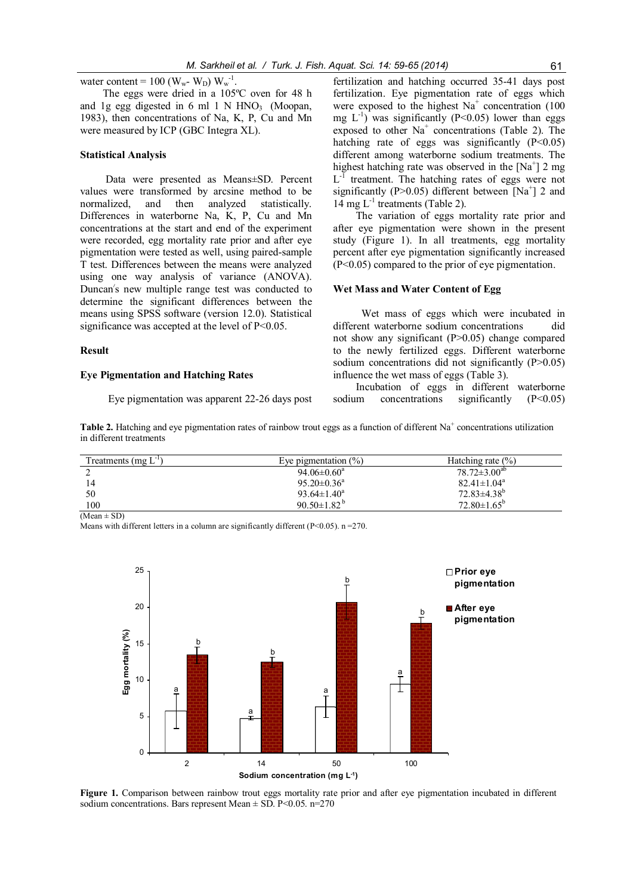water content = 100 ( $W_w$ -  $W_D$ )  $W_w^{-1}$ .

The eggs were dried in a 105ºC oven for 48 h and 1g egg digested in 6 ml 1 N HNO<sub>3</sub> (Moopan, 1983), then concentrations of Na, K, P, Cu and Mn were measured by ICP (GBC Integra XL).

#### Statistical Analysis

Data were presented as Means±SD. Percent values were transformed by arcsine method to be normalized, and then analyzed statistically. Differences in waterborne Na, K, P, Cu and Mn concentrations at the start and end of the experiment were recorded, egg mortality rate prior and after eye pigmentation were tested as well, using paired-sample T test. Differences between the means were analyzed using one way analysis of variance (ANOVA). Duncan s new multiple range test was conducted to determine the significant differences between the means using SPSS software (version 12.0). Statistical significance was accepted at the level of P<0.05.

#### Result

#### Eye Pigmentation and Hatching Rates

Eye pigmentation was apparent 22-26 days post

fertilization and hatching occurred 35-41 days post fertilization. Eye pigmentation rate of eggs which were exposed to the highest  $Na<sup>+</sup>$  concentration (100) mg  $L^{-1}$ ) was significantly (P<0.05) lower than eggs exposed to other  $Na<sup>+</sup>$  concentrations (Table 2). The hatching rate of eggs was significantly  $(P<0.05)$ different among waterborne sodium treatments. The highest hatching rate was observed in the  $[Na^+]$  2 mg  $L^{-1}$  treatment. The hatching rates of eggs were not significantly (P>0.05) different between  $[Na^+]$  2 and 14 mg  $L^{-1}$  treatments (Table 2).

The variation of eggs mortality rate prior and after eye pigmentation were shown in the present study (Figure 1). In all treatments, egg mortality percent after eye pigmentation significantly increased (P<0.05) compared to the prior of eye pigmentation.

#### Wet Mass and Water Content of Egg

Wet mass of eggs which were incubated in different waterborne sodium concentrations did not show any significant (P>0.05) change compared to the newly fertilized eggs. Different waterborne sodium concentrations did not significantly (P>0.05) influence the wet mass of eggs (Table 3).

Incubation of eggs in different waterborne sodium concentrations significantly (P<0.05)

**Table 2.** Hatching and eye pigmentation rates of rainbow trout eggs as a function of different  $Na<sup>+</sup>$  concentrations utilization in different treatments

| Treatments (mg $L^{\prime}$ ) | Eye pigmentation $(\% )$      | Hatching rate $(\% )$    |
|-------------------------------|-------------------------------|--------------------------|
|                               | $94.06 \pm 0.60^a$            | $78.72 \pm 3.00^{ab}$    |
|                               | $95.20 \pm 0.36^a$            | $82.41 \pm 1.04^a$       |
| 50                            | $93.64 \pm 1.40^a$            | $72.83\pm4.38^b$         |
| 100                           | 90.50 $\pm$ 1.82 <sup>b</sup> | $72.80 \pm 1.65^{\circ}$ |

 $(Mean \pm SD)$ 

Means with different letters in a column are significantly different  $(P< 0.05)$ . n = 270.



Figure 1. Comparison between rainbow trout eggs mortality rate prior and after eye pigmentation incubated in different sodium concentrations. Bars represent Mean  $\pm$  SD. P<0.05. n=270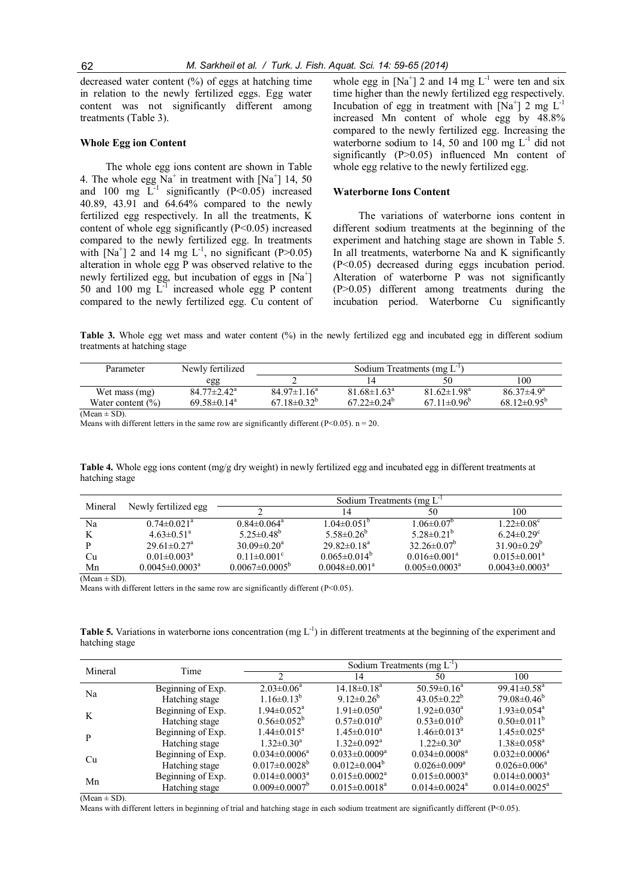decreased water content (%) of eggs at hatching time in relation to the newly fertilized eggs. Egg water content was not significantly different among treatments (Table 3).

#### Whole Egg ion Content

The whole egg ions content are shown in Table 4. The whole egg  $\text{Na}^+$  in treatment with  $\text{[Na}^+$  14, 50 and 100 mg  $L^{-1}$  significantly (P<0.05) increased 40.89, 43.91 and 64.64% compared to the newly fertilized egg respectively. In all the treatments, K content of whole egg significantly (P<0.05) increased compared to the newly fertilized egg. In treatments with  $[Na^+]$  2 and 14 mg  $L^{-1}$ , no significant (P>0.05) alteration in whole egg P was observed relative to the newly fertilized egg, but incubation of eggs in [Na<sup>+</sup>] 50 and 100 mg  $\overline{L}^{-1}$  increased whole egg P content compared to the newly fertilized egg. Cu content of

whole egg in  $[Na^+]$  2 and 14 mg  $L^{-1}$  were ten and six time higher than the newly fertilized egg respectively. Incubation of egg in treatment with  $[Na^+]$  2 mg L<sup>-1</sup> increased Mn content of whole egg by 48.8% compared to the newly fertilized egg. Increasing the waterborne sodium to 14, 50 and 100 mg L<sup>-1</sup> did not significantly (P>0.05) influenced Mn content of whole egg relative to the newly fertilized egg.

## Waterborne Ions Content

The variations of waterborne ions content in different sodium treatments at the beginning of the experiment and hatching stage are shown in Table 5. In all treatments, waterborne Na and K significantly (P<0.05) decreased during eggs incubation period. Alteration of waterborne P was not significantly (P>0.05) different among treatments during the incubation period. Waterborne Cu significantly

Table 3. Whole egg wet mass and water content (%) in the newly fertilized egg and incubated egg in different sodium treatments at hatching stage

| Parameter             | Newly fertilized            | Sodium Treatments (mg $L^{\prime}$ ) |                               |                          |                               |  |
|-----------------------|-----------------------------|--------------------------------------|-------------------------------|--------------------------|-------------------------------|--|
|                       | egg                         |                                      |                               |                          | 100                           |  |
| Wet mass (mg)         | $84.77 \pm 2.42^{\text{a}}$ | $84.97 \pm 1.16^a$                   | $81.68 \pm 1.63^{\circ}$      | $81.62 \pm 1.98^a$       | $86.37\pm4.9^{\circ}$         |  |
| Water content $(\% )$ | $69.58 \pm 0.14^a$          | $67.18 \pm 0.32^{\circ}$             | $67.22 \pm 0.24$ <sup>b</sup> | $67.11 \pm 0.96^{\circ}$ | 68.12 $\pm$ 0.95 <sup>b</sup> |  |

 $(Mean \pm SD)$ .

Means with different letters in the same row are significantly different (P<0.05).  $n = 20$ .

Table 4. Whole egg ions content (mg/g dry weight) in newly fertilized egg and incubated egg in different treatments at hatching stage

| Mineral |                               | Sodium Treatments (mg L <sup>1</sup> |                                 |                                |                              |  |  |
|---------|-------------------------------|--------------------------------------|---------------------------------|--------------------------------|------------------------------|--|--|
|         | Newly fertilized egg          |                                      |                                 | 50                             | 100                          |  |  |
| Na      | $0.74 \pm 0.021$ <sup>a</sup> | $0.84 \pm 0.064$ <sup>a</sup>        | $1.04 \pm 0.051$ <sup>o</sup>   | $1.06 \pm 0.07$ <sup>o</sup>   | $1.22 \pm 0.08^c$            |  |  |
|         | $4.63 \pm 0.51$ <sup>a</sup>  | $5.25 \pm 0.48^{\circ}$              | $5.58\pm0.26^b$                 | $5.28 \pm 0.21^b$              | $6.24 \pm 0.29$ <sup>c</sup> |  |  |
|         | $29.61 \pm 0.27$ <sup>a</sup> | $30.09 \pm 0.20^a$                   | $29.82 \pm 0.18^a$              | $32.26 \pm 0.07^b$             | $31.90\pm0.29^b$             |  |  |
| Cu      | $0.01 \pm 0.003^a$            | $0.11 \pm 0.001$ °                   | $0.065 \pm 0.014^b$             | $0.016 \pm 0.001$ <sup>a</sup> | $0.015 \pm 0.001^a$          |  |  |
| Mn      | $0.0045 \pm 0.0003^a$         | $0.0067 \pm 0.0005^{\circ}$          | $0.0048 \pm 0.001$ <sup>a</sup> | $0.005 \pm 0.0003^a$           | $0.0043 \pm 0.0003^a$        |  |  |

 $(Mean \pm SD)$ .

Means with different letters in the same row are significantly different (P<0.05).

Table 5. Variations in waterborne ions concentration (mg  $L^{-1}$ ) in different treatments at the beginning of the experiment and hatching stage

| Mineral | Time              | Sodium Treatments (mg $L^{\perp}$ ) |                               |                                 |                                 |  |  |
|---------|-------------------|-------------------------------------|-------------------------------|---------------------------------|---------------------------------|--|--|
|         |                   |                                     | 14                            | 50                              | 100                             |  |  |
| Na      | Beginning of Exp. | $2.03 \pm 0.06^a$                   | $14.18 \pm 0.18^a$            | 50.59 $\pm$ 0.16 <sup>a</sup>   | 99.41 $\pm$ 0.58 <sup>a</sup>   |  |  |
|         | Hatching stage    | $1.16 \pm 0.13^{b}$                 | 9.12 $\pm$ 0.26 <sup>b</sup>  | $43.05 \pm 0.22^b$              | $79.08 \pm 0.46^{\circ}$        |  |  |
| K       | Beginning of Exp. | $1.94 \pm 0.052$ <sup>a</sup>       | $1.91 \pm 0.050^a$            | $1.92 \pm 0.030$ <sup>a</sup>   | $1.93 \pm 0.054$ <sup>a</sup>   |  |  |
|         | Hatching stage    | $0.56 \pm 0.052^{\circ}$            | $0.57 \pm 0.010^{\circ}$      | $0.53 \pm 0.010^6$              | $0.50 \pm 0.011^b$              |  |  |
| P       | Beginning of Exp. | $1.44 \pm 0.015^a$                  | $1.45 \pm 0.010^a$            | $1.46 \pm 0.013^{\text{a}}$     | $1.45 \pm 0.025$ <sup>a</sup>   |  |  |
|         | Hatching stage    | $1.32 \pm 0.30^a$                   | $1.32 \pm 0.092^{\text{a}}$   | $1.22 \pm 0.30^a$               | $1.38 \pm 0.058$ <sup>a</sup>   |  |  |
| Cu      | Beginning of Exp. | $0.034 \pm 0.0006^a$                | $0.033 \pm 0.0009^a$          | $0.034 \pm 0.0008^a$            | $0.032 \pm 0.0006^a$            |  |  |
|         | Hatching stage    | $0.017 \pm 0.0028$ <sup>b</sup>     | $0.012 \pm 0.004^{\circ}$     | $0.026 \pm 0.009^{\text{a}}$    | $0.026 \pm 0.006^a$             |  |  |
| Mn      | Beginning of Exp. | $0.014 \pm 0.0003^a$                | $0.015 \pm 0.0002^{\text{a}}$ | $0.015 \pm 0.0003^{\text{a}}$   | $0.014 \pm 0.0003$ <sup>a</sup> |  |  |
|         | Hatching stage    | $0.009 \pm 0.0007$ <sup>b</sup>     | $0.015 \pm 0.0018^a$          | $0.014 \pm 0.0024$ <sup>a</sup> | $0.014 \pm 0.0025^{\text{a}}$   |  |  |

 $(Mean \pm SD)$ .

Means with different letters in beginning of trial and hatching stage in each sodium treatment are significantly different (P<0.05).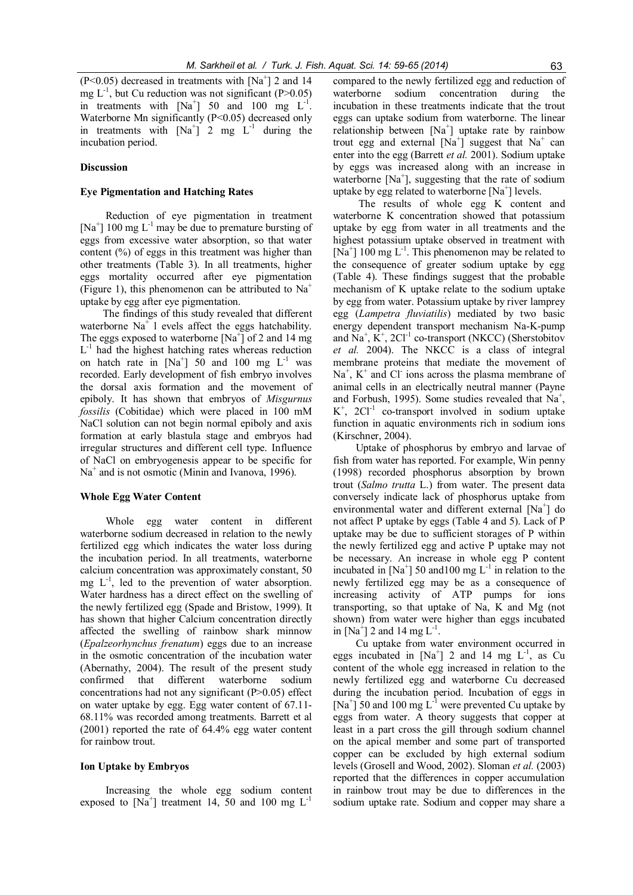$(P<0.05)$  decreased in treatments with [Na<sup>+</sup>] 2 and 14 mg  $L^{-1}$ , but Cu reduction was not significant (P>0.05) in treatments with  $[Na^+]$  50 and 100 mg  $L^{-1}$ . Waterborne Mn significantly (P<0.05) decreased only in treatments with  $[Na^+]$  2 mg  $L^{-1}$  during the incubation period.

#### Discussion

## Eye Pigmentation and Hatching Rates

Reduction of eye pigmentation in treatment [Na<sup>+</sup>] 100 mg  $L^{-1}$  may be due to premature bursting of eggs from excessive water absorption, so that water content  $(\%)$  of eggs in this treatment was higher than other treatments (Table 3). In all treatments, higher eggs mortality occurred after eye pigmentation (Figure 1), this phenomenon can be attributed to  $Na<sup>+</sup>$ uptake by egg after eye pigmentation.

The findings of this study revealed that different waterborne  $Na<sup>+</sup>$  l evels affect the eggs hatchability. The eggs exposed to waterborne  $[Na^+]$  of 2 and 14 mg  $L^{-1}$  had the highest hatching rates whereas reduction on hatch rate in  $[Na^+]$  50 and 100 mg  $L^{-1}$  was recorded. Early development of fish embryo involves the dorsal axis formation and the movement of epiboly. It has shown that embryos of Misgurnus fossilis (Cobitidae) which were placed in 100 mM NaCl solution can not begin normal epiboly and axis formation at early blastula stage and embryos had irregular structures and different cell type. Influence of NaCl on embryogenesis appear to be specific for  $Na<sup>+</sup>$  and is not osmotic (Minin and Ivanova, 1996).

#### Whole Egg Water Content

Whole egg water content in different waterborne sodium decreased in relation to the newly fertilized egg which indicates the water loss during the incubation period. In all treatments, waterborne calcium concentration was approximately constant, 50 mg  $L^{-1}$ , led to the prevention of water absorption. Water hardness has a direct effect on the swelling of the newly fertilized egg (Spade and Bristow, 1999). It has shown that higher Calcium concentration directly affected the swelling of rainbow shark minnow (Epalzeorhynchus frenatum) eggs due to an increase in the osmotic concentration of the incubation water (Abernathy, 2004). The result of the present study confirmed that different waterborne sodium concentrations had not any significant (P>0.05) effect on water uptake by egg. Egg water content of 67.11- 68.11% was recorded among treatments. Barrett et al (2001) reported the rate of 64.4% egg water content for rainbow trout.

#### Ion Uptake by Embryos

Increasing the whole egg sodium content exposed to  $[Na^+]$  treatment 14, 50 and 100 mg  $L^{-1}$ 

compared to the newly fertilized egg and reduction of waterborne sodium concentration during the incubation in these treatments indicate that the trout eggs can uptake sodium from waterborne. The linear relationship between  $[Na^+]$  uptake rate by rainbow trout egg and external  $[Na^+]$  suggest that  $Na^+$  can enter into the egg (Barrett et al. 2001). Sodium uptake by eggs was increased along with an increase in waterborne  $[Na^+]$ , suggesting that the rate of sodium uptake by egg related to waterborne  $[Na^+]$  levels.

The results of whole egg K content and waterborne K concentration showed that potassium uptake by egg from water in all treatments and the highest potassium uptake observed in treatment with [Na<sup>+</sup>] 100 mg  $L^{-1}$ . This phenomenon may be related to the consequence of greater sodium uptake by egg (Table 4). These findings suggest that the probable mechanism of K uptake relate to the sodium uptake by egg from water. Potassium uptake by river lamprey egg (Lampetra fluviatilis) mediated by two basic energy dependent transport mechanism Na-K-pump and  $\overline{Na}^+$ ,  $\overline{K}^+$ , 2Cl<sup>-1</sup> co-transport (NKCC) (Sherstobitov et al. 2004). The NKCC is a class of integral membrane proteins that mediate the movement of  $Na<sup>+</sup>$ ,  $K<sup>+</sup>$  and Cl<sup>-</sup> ions across the plasma membrane of animal cells in an electrically neutral manner (Payne and Forbush, 1995). Some studies revealed that  $Na<sup>+</sup>$ ,  $K^+$ , 2Cl<sup>-1</sup> co-transport involved in sodium uptake function in aquatic environments rich in sodium ions (Kirschner, 2004).

Uptake of phosphorus by embryo and larvae of fish from water has reported. For example, Win penny (1998) recorded phosphorus absorption by brown trout (Salmo trutta L.) from water. The present data conversely indicate lack of phosphorus uptake from environmental water and different external [Na<sup>+</sup>] do not affect P uptake by eggs (Table 4 and 5). Lack of P uptake may be due to sufficient storages of P within the newly fertilized egg and active P uptake may not be necessary. An increase in whole egg P content incubated in  $[Na^+]$  50 and 100 mg  $L^{-1}$  in relation to the newly fertilized egg may be as a consequence of increasing activity of ATP pumps for ions transporting, so that uptake of Na, K and Mg (not shown) from water were higher than eggs incubated in [Na<sup>+</sup>] 2 and 14 mg  $L^{-1}$ .

Cu uptake from water environment occurred in eggs incubated in  $[Na^+]$  2 and 14 mg  $L^{-1}$ , as Cu content of the whole egg increased in relation to the newly fertilized egg and waterborne Cu decreased during the incubation period. Incubation of eggs in [Na<sup>+</sup>] 50 and 100 mg  $L^{-1}$  were prevented Cu uptake by eggs from water. A theory suggests that copper at least in a part cross the gill through sodium channel on the apical member and some part of transported copper can be excluded by high external sodium levels (Grosell and Wood, 2002). Sloman et al. (2003) reported that the differences in copper accumulation in rainbow trout may be due to differences in the sodium uptake rate. Sodium and copper may share a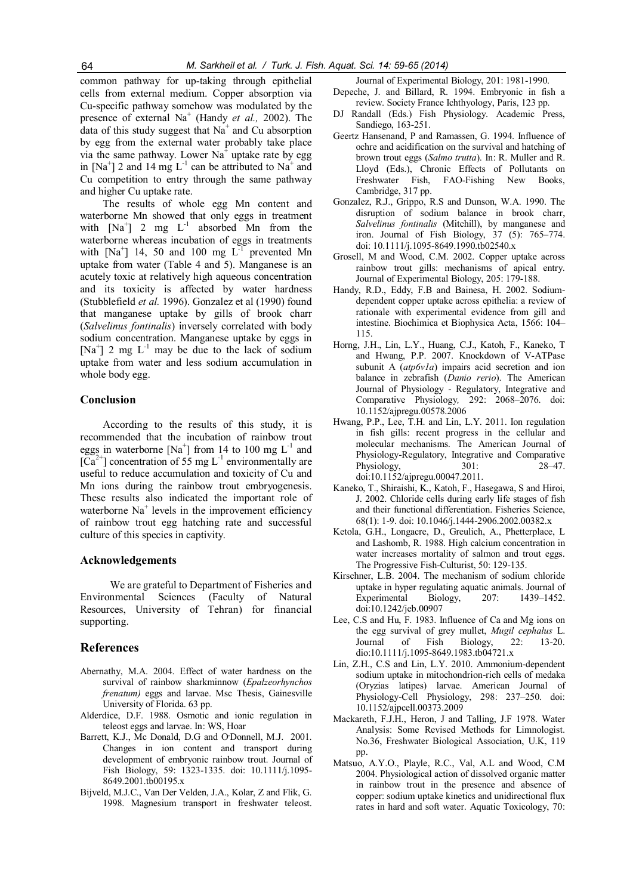common pathway for up-taking through epithelial cells from external medium. Copper absorption via Cu-specific pathway somehow was modulated by the presence of external  $Na<sup>+</sup>$  (Handy *et al.*, 2002). The data of this study suggest that  $Na<sup>+</sup>$  and Cu absorption by egg from the external water probably take place via the same pathway. Lower  $Na<sup>+</sup>$  uptake rate by egg in  $[Na^+]$  2 and 14 mg  $L^{-1}$  can be attributed to  $Na^+$  and Cu competition to entry through the same pathway and higher Cu uptake rate.

The results of whole egg Mn content and waterborne Mn showed that only eggs in treatment with  $[Na^+]$  2 mg  $L^{-1}$  absorbed Mn from the waterborne whereas incubation of eggs in treatments with  $[Na^+]$  14, 50 and 100 mg  $L^{-1}$  prevented Mn uptake from water (Table 4 and 5). Manganese is an acutely toxic at relatively high aqueous concentration and its toxicity is affected by water hardness (Stubblefield et al. 1996). Gonzalez et al (1990) found that manganese uptake by gills of brook charr (Salvelinus fontinalis) inversely correlated with body sodium concentration. Manganese uptake by eggs in [Na<sup>+</sup>] 2 mg  $L^{-1}$  may be due to the lack of sodium uptake from water and less sodium accumulation in whole body egg.

## Conclusion

According to the results of this study, it is recommended that the incubation of rainbow trout eggs in waterborne  $[Na^+]$  from 14 to 100 mg  $L^{-1}$  and  $[Ca^{2+}]$  concentration of 55 mg L<sup>-1</sup> environmentally are useful to reduce accumulation and toxicity of Cu and Mn ions during the rainbow trout embryogenesis. These results also indicated the important role of waterborne  $Na<sup>+</sup>$  levels in the improvement efficiency of rainbow trout egg hatching rate and successful culture of this species in captivity.

#### Acknowledgements

We are grateful to Department of Fisheries and Environmental Sciences (Faculty of Natural Resources, University of Tehran) for financial supporting.

## References

- Abernathy, M.A. 2004. Effect of water hardness on the survival of rainbow sharkminnow (Epalzeorhynchos frenatum) eggs and larvae. Msc Thesis, Gainesville University of Florida. 63 pp.
- Alderdice, D.F. 1988. Osmotic and ionic regulation in teleost eggs and larvae. In: WS, Hoar
- Barrett, K.J., Mc Donald, D.G and O<sup>D</sup>onnell, M.J. 2001. Changes in ion content and transport during development of embryonic rainbow trout. Journal of Fish Biology, 59: 1323-1335. doi: 10.1111/j.1095- 8649.2001.tb00195.x
- Bijveld, M.J.C., Van Der Velden, J.A., Kolar, Z and Flik, G. 1998. Magnesium transport in freshwater teleost.

Journal of Experimental Biology, 201: 1981-1990.

- Depeche, J. and Billard, R. 1994. Embryonic in fish a review. Society France Ichthyology, Paris, 123 pp.
- Randall (Eds.) Fish Physiology. Academic Press, Sandiego, 163-251.
- Geertz Hansenand, P and Ramassen, G. 1994. Influence of ochre and acidification on the survival and hatching of brown trout eggs (Salmo trutta). In: R. Muller and R. Lloyd (Eds.), Chronic Effects of Pollutants on Freshwater Fish, FAO-Fishing New Books, Cambridge, 317 pp.
- Gonzalez, R.J., Grippo, R.S and Dunson, W.A. 1990. The disruption of sodium balance in brook charr, Salvelinus fontinalis (Mitchill), by manganese and iron. Journal of Fish Biology, 37 (5): 765–774. doi: 10.1111/j.1095-8649.1990.tb02540.x
- Grosell, M and Wood, C.M. 2002. Copper uptake across rainbow trout gills: mechanisms of apical entry. Journal of Experimental Biology, 205: 179-188.
- Handy, R.D., Eddy, F.B and Bainesa, H. 2002. Sodiumdependent copper uptake across epithelia: a review of rationale with experimental evidence from gill and intestine. Biochimica et Biophysica Acta, 1566: 104– 115.
- Horng, J.H., Lin, L.Y., Huang, C.J., Katoh, F., Kaneko, T and Hwang, P.P. 2007. Knockdown of V-ATPase subunit A  $(atp6v1a)$  impairs acid secretion and ion balance in zebrafish (Danio rerio). The American Journal of Physiology - Regulatory, Integrative and Comparative Physiology, 292: 2068–2076. doi: 10.1152/ajpregu.00578.2006
- Hwang, P.P., Lee, T.H. and Lin, L.Y. 2011. Ion regulation in fish gills: recent progress in the cellular and molecular mechanisms. The American Journal of Physiology-Regulatory, Integrative and Comparative Physiology, 301: 28–47. doi:10.1152/ajpregu.00047.2011.
- Kaneko, T., Shiraishi, K., Katoh, F., Hasegawa, S and Hiroi, J. 2002. Chloride cells during early life stages of fish and their functional differentiation. Fisheries Science, 68(1): 1-9. doi: 10.1046/j.1444-2906.2002.00382.x
- Ketola, G.H., Longacre, D., Greulich, A., Phetterplace, L and Lashomb, R. 1988. High calcium concentration in water increases mortality of salmon and trout eggs. The Progressive Fish-Culturist, 50: 129-135.
- Kirschner, L.B. 2004. The mechanism of sodium chloride uptake in hyper regulating aquatic animals. Journal of Experimental Biology, 207: 1439–1452. Experimental Biology, 207: doi:10.1242/jeb.00907
- Lee, C.S and Hu, F. 1983. Influence of Ca and Mg ions on the egg survival of grey mullet, Mugil cephalus L. Journal of Fish Biology, 22: 13-20. dio:10.1111/j.1095-8649.1983.tb04721.x
- Lin, Z.H., C.S and Lin, L.Y. 2010. Ammonium-dependent sodium uptake in mitochondrion-rich cells of medaka (Oryzias latipes) larvae. American Journal of Physiology-Cell Physiology, 298: 237–250. doi: 10.1152/ajpcell.00373.2009
- Mackareth, F.J.H., Heron, J and Talling, J.F 1978. Water Analysis: Some Revised Methods for Limnologist. No.36, Freshwater Biological Association, U.K, 119 pp.
- Matsuo, A.Y.O., Playle, R.C., Val, A.L and Wood, C.M 2004. Physiological action of dissolved organic matter in rainbow trout in the presence and absence of copper: sodium uptake kinetics and unidirectional flux rates in hard and soft water. Aquatic Toxicology, 70: